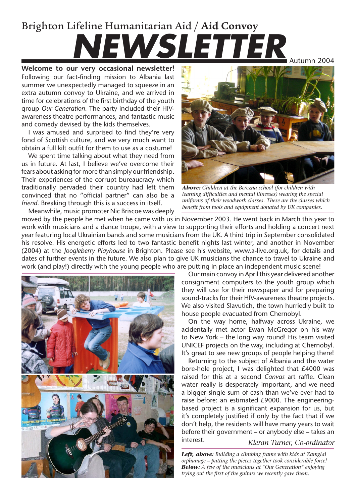## Brighton Lifeline Humanitarian Aid / **Aid Convoy NEWSLETTER**

**Welcome to our very occasional newsletter!** Following our fact-finding mission to Albania last summer we unexpectedly managed to squeeze in an extra autumn convoy to Ukraine, and we arrived in time for celebrations of the first birthday of the youth group *Our Generation*. The party included their HIVawareness theatre performances, and fantastic music and comedy devised by the kids themselves.

I was amused and surprised to find they're very fond of Scottish culture, and we very much want to obtain a full kilt outfit for them to use as a costume!

We spent time talking about what they need from us in future. At last, I believe we've overcome their fears about asking for more than simply our friendship. Their experiences of the corrupt bureaucracy which traditionally pervaded their country had left them convinced that no "official partner" can also be a *friend*. Breaking through this is a success in itself.



*Above: Children at the Berezna school (for children with learning difficulties and mental illnesses) wearing the special uniforms of their woodwork classes. These are the classes which benefit from tools and equipment donated by UK companies.*

Meanwhile, music promoter Nic Briscoe was deeply moved by the people he met when he came with us in November 2003. He went back in March this year to work with musicians and a dance troupe, with a view to supporting their efforts and holding a concert next year featuring local Ukrainian bands and some musicians from the UK. A third trip in September consolidated his resolve. His energetic efforts led to two fantastic benefit nights last winter, and another in November (2004) at the *Joogleberry Playhouse* in Brighton. Please see his website, www.a-live.org.uk, for details and dates of further events in the future. We also plan to give UK musicians the chance to travel to Ukraine and work (and play!) directly with the young people who are putting in place an independent music scene!



Our main convoy in April this year delivered another consignment computers to the youth group which they will use for their newspaper and for preparing sound-tracks for their HIV-awareness theatre projects. We also visited Slavutich, the town hurriedly built to house people evacuated from Chernobyl.

On the way home, halfway across Ukraine, we acidentally met actor Ewan McGregor on his way to New York – the long way round! His team visited UNICEF projects on the way, including at Chernobyl. It's great to see new groups of people helping there!

*Kieran Turner, Co-ordinator* Returning to the subject of Albania and the water bore-hole project, I was delighted that £4000 was raised for this at a second *Canvas* art raffle. Clean water really is desperately important, and we need a bigger single sum of cash than we've ever had to raise before: an estimated £9000. The engineeringbased project is a significant expansion for us, but it's completely justified if only by the fact that if we don't help, the residents will have many years to wait before their government – or anybody else – takes an interest.

*Left, above: Building a climbing frame with kids at Zamglai orphanage – putting the pieces together took considerable force! Below: A few of the musicians at "Our Generation" enjoying trying out the first of the guitars we recently gave them.*